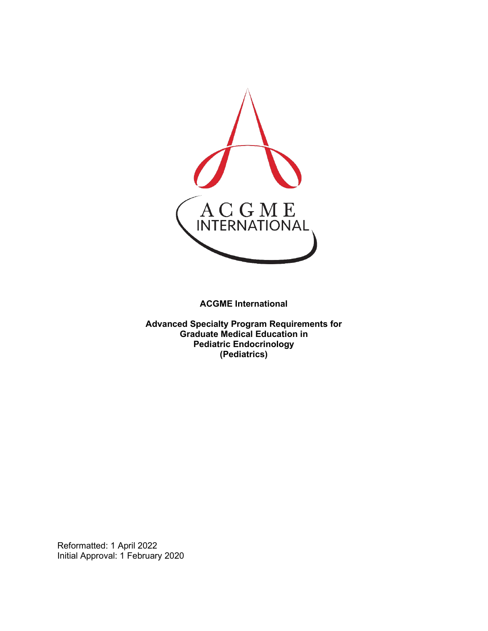

**ACGME International** 

**Advanced Specialty Program Requirements for Graduate Medical Education in Pediatric Endocrinology (Pediatrics)**

Reformatted: 1 April 2022 Initial Approval: 1 February 2020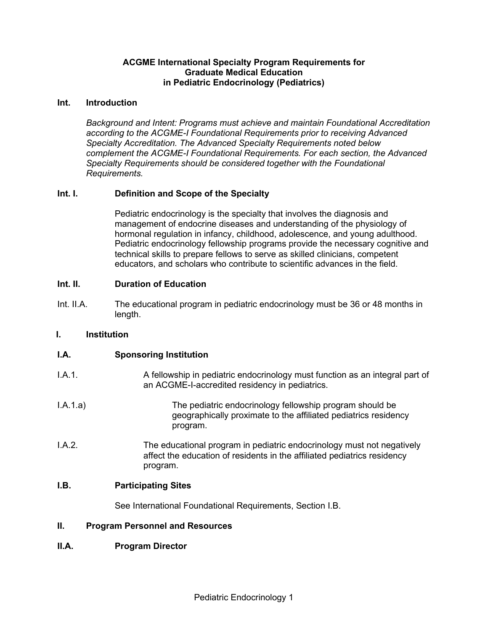## **ACGME International Specialty Program Requirements for Graduate Medical Education in Pediatric Endocrinology (Pediatrics)**

### **Int. Introduction**

*Background and Intent: Programs must achieve and maintain Foundational Accreditation according to the ACGME-I Foundational Requirements prior to receiving Advanced Specialty Accreditation. The Advanced Specialty Requirements noted below complement the ACGME-I Foundational Requirements. For each section, the Advanced Specialty Requirements should be considered together with the Foundational Requirements.*

# **Int. I. Definition and Scope of the Specialty**

Pediatric endocrinology is the specialty that involves the diagnosis and management of endocrine diseases and understanding of the physiology of hormonal regulation in infancy, childhood, adolescence, and young adulthood. Pediatric endocrinology fellowship programs provide the necessary cognitive and technical skills to prepare fellows to serve as skilled clinicians, competent educators, and scholars who contribute to scientific advances in the field.

### **Int. II. Duration of Education**

Int. II.A. The educational program in pediatric endocrinology must be 36 or 48 months in length.

### **I. Institution**

| I.A. | <b>Sponsoring Institution</b> |  |
|------|-------------------------------|--|
|      |                               |  |

- I.A.1. A fellowship in pediatric endocrinology must function as an integral part of an ACGME-I-accredited residency in pediatrics.
- I.A.1.a) The pediatric endocrinology fellowship program should be geographically proximate to the affiliated pediatrics residency program.
- I.A.2. The educational program in pediatric endocrinology must not negatively affect the education of residents in the affiliated pediatrics residency program.

### **I.B. Participating Sites**

See International Foundational Requirements, Section I.B.

# **II. Program Personnel and Resources**

### **II.A. Program Director**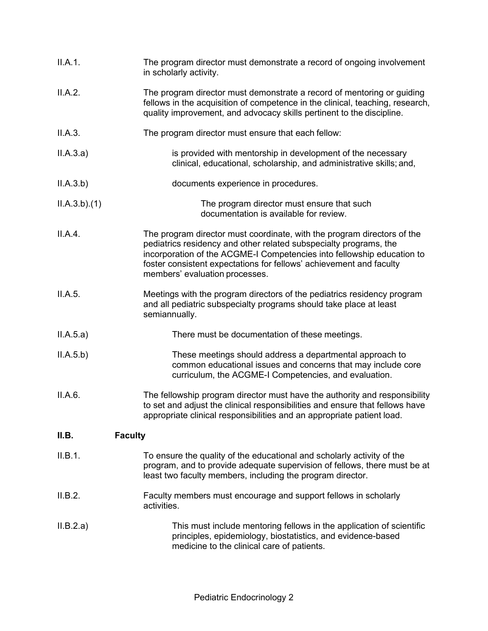| II.A.1.                 | The program director must demonstrate a record of ongoing involvement<br>in scholarly activity.                                                                                                                                                                                                                                 |
|-------------------------|---------------------------------------------------------------------------------------------------------------------------------------------------------------------------------------------------------------------------------------------------------------------------------------------------------------------------------|
| II.A.2.                 | The program director must demonstrate a record of mentoring or guiding<br>fellows in the acquisition of competence in the clinical, teaching, research,<br>quality improvement, and advocacy skills pertinent to the discipline.                                                                                                |
| II.A.3.                 | The program director must ensure that each fellow:                                                                                                                                                                                                                                                                              |
| II.A.3.a)               | is provided with mentorship in development of the necessary<br>clinical, educational, scholarship, and administrative skills; and,                                                                                                                                                                                              |
| II.A.3.b)               | documents experience in procedures.                                                                                                                                                                                                                                                                                             |
| ILA.3.b)(1)             | The program director must ensure that such<br>documentation is available for review.                                                                                                                                                                                                                                            |
| II.A.4.                 | The program director must coordinate, with the program directors of the<br>pediatrics residency and other related subspecialty programs, the<br>incorporation of the ACGME-I Competencies into fellowship education to<br>foster consistent expectations for fellows' achievement and faculty<br>members' evaluation processes. |
| II.A.5.                 | Meetings with the program directors of the pediatrics residency program<br>and all pediatric subspecialty programs should take place at least<br>semiannually.                                                                                                                                                                  |
| II.A.5.a)               | There must be documentation of these meetings.                                                                                                                                                                                                                                                                                  |
| II.A.5.b)               | These meetings should address a departmental approach to<br>common educational issues and concerns that may include core<br>curriculum, the ACGME-I Competencies, and evaluation.                                                                                                                                               |
| II.A.6.                 | The fellowship program director must have the authority and responsibility<br>to set and adjust the clinical responsibilities and ensure that fellows have<br>appropriate clinical responsibilities and an appropriate patient load.                                                                                            |
| II.B.<br><b>Faculty</b> |                                                                                                                                                                                                                                                                                                                                 |
| II.B.1.                 | To ensure the quality of the educational and scholarly activity of the<br>program, and to provide adequate supervision of fellows, there must be at<br>least two faculty members, including the program director.                                                                                                               |
| II.B.2.                 | Faculty members must encourage and support fellows in scholarly<br>activities.                                                                                                                                                                                                                                                  |
| II.B.2.a)               | This must include mentoring fellows in the application of scientific<br>principles, epidemiology, biostatistics, and evidence-based<br>medicine to the clinical care of patients.                                                                                                                                               |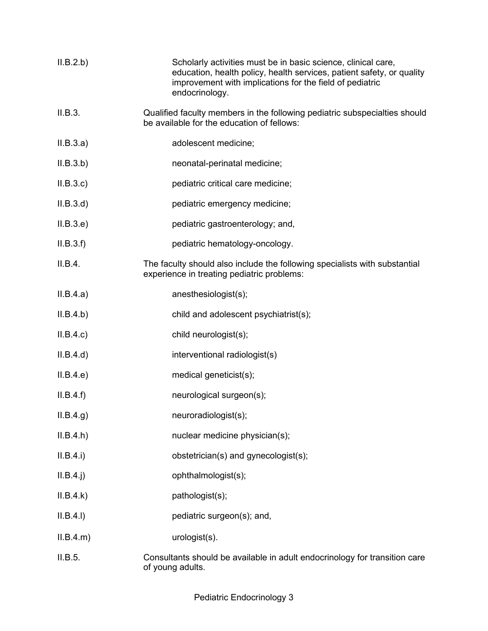| II.B.2.b)   | Scholarly activities must be in basic science, clinical care,<br>education, health policy, health services, patient safety, or quality<br>improvement with implications for the field of pediatric<br>endocrinology. |
|-------------|----------------------------------------------------------------------------------------------------------------------------------------------------------------------------------------------------------------------|
| II.B.3.     | Qualified faculty members in the following pediatric subspecialties should<br>be available for the education of fellows:                                                                                             |
| II.B.3.a)   | adolescent medicine;                                                                                                                                                                                                 |
| II.B.3.b)   | neonatal-perinatal medicine;                                                                                                                                                                                         |
| II.B.3.c    | pediatric critical care medicine;                                                                                                                                                                                    |
| II.B.3.d    | pediatric emergency medicine;                                                                                                                                                                                        |
| II.B.3.e    | pediatric gastroenterology; and,                                                                                                                                                                                     |
| II.B.3.f    | pediatric hematology-oncology.                                                                                                                                                                                       |
| II.B.4.     | The faculty should also include the following specialists with substantial<br>experience in treating pediatric problems:                                                                                             |
| II.B.4.a)   | anesthesiologist(s);                                                                                                                                                                                                 |
| II.B.4.b)   | child and adolescent psychiatrist(s);                                                                                                                                                                                |
| II.B.4.c    | child neurologist(s);                                                                                                                                                                                                |
| II.B.4.d)   | interventional radiologist(s)                                                                                                                                                                                        |
| II.B.4.e    | medical geneticist(s);                                                                                                                                                                                               |
| II.B.4.f)   | neurological surgeon(s);                                                                                                                                                                                             |
| ILB.4.g)    | neuroradiologist(s);                                                                                                                                                                                                 |
| ILB.4.h)    | nuclear medicine physician(s);                                                                                                                                                                                       |
| II.B.4.i)   | obstetrician(s) and gynecologist(s);                                                                                                                                                                                 |
| $II.B.4.$ j | ophthalmologist(s);                                                                                                                                                                                                  |
| II.B.4.k)   | pathologist(s);                                                                                                                                                                                                      |
| II.B.4.I)   | pediatric surgeon(s); and,                                                                                                                                                                                           |
| ILB.4.m)    | urologist(s).                                                                                                                                                                                                        |
| II.B.5.     | Consultants should be available in adult endocrinology for transition care<br>of young adults.                                                                                                                       |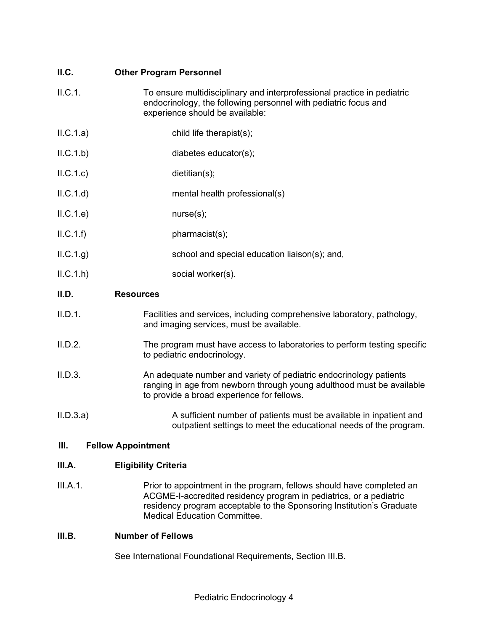# **II.C. Other Program Personnel**

- II.C.1. To ensure multidisciplinary and interprofessional practice in pediatric endocrinology, the following personnel with pediatric focus and experience should be available:
- II.C.1.a) child life therapist(s);
- II.C.1.b) diabetes educator(s);
- II.C.1.c) dietitian(s);
- II.C.1.d) mental health professional(s)
- II.C.1.e) nurse(s);
- $II.C.1.f$ ) pharmacist(s);
- II.C.1.g) school and special education liaison(s); and,
- II.C.1.h) social worker(s).

# **II.D. Resources**

- II.D.1. Facilities and services, including comprehensive laboratory, pathology, and imaging services, must be available.
- II.D.2. The program must have access to laboratories to perform testing specific to pediatric endocrinology.
- II.D.3. An adequate number and variety of pediatric endocrinology patients ranging in age from newborn through young adulthood must be available to provide a broad experience for fellows.

II.D.3.a) A sufficient number of patients must be available in inpatient and outpatient settings to meet the educational needs of the program.

# **III. Fellow Appointment**

# **III.A. Eligibility Criteria**

III.A.1. Prior to appointment in the program, fellows should have completed an ACGME-I-accredited residency program in pediatrics, or a pediatric residency program acceptable to the Sponsoring Institution's Graduate Medical Education Committee.

### **III.B. Number of Fellows**

See International Foundational Requirements, Section III.B.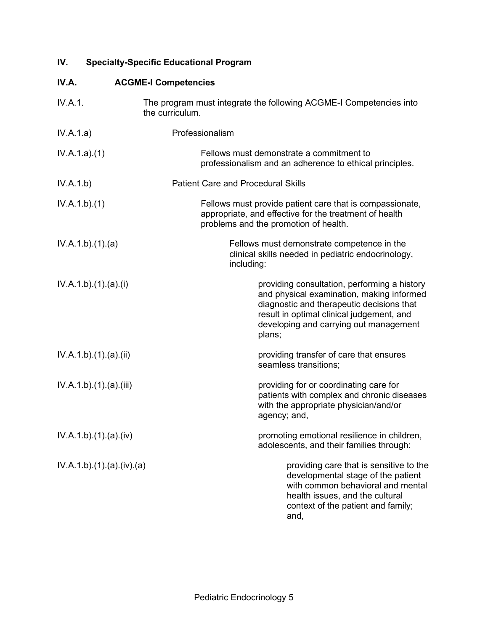# **IV. Specialty-Specific Educational Program**

# **IV.A. ACGME-I Competencies**

| IV.A.1.                | The program must integrate the following ACGME-I Competencies into<br>the curriculum.                                                                                                                                                   |
|------------------------|-----------------------------------------------------------------------------------------------------------------------------------------------------------------------------------------------------------------------------------------|
| IV.A.1.a)              | Professionalism                                                                                                                                                                                                                         |
| IV.A.1.a)(1)           | Fellows must demonstrate a commitment to<br>professionalism and an adherence to ethical principles.                                                                                                                                     |
| IV.A.1.b)              | <b>Patient Care and Procedural Skills</b>                                                                                                                                                                                               |
| IV.A.1.b)(1)           | Fellows must provide patient care that is compassionate,<br>appropriate, and effective for the treatment of health<br>problems and the promotion of health.                                                                             |
| IV.A.1.b)(1)(a)        | Fellows must demonstrate competence in the<br>clinical skills needed in pediatric endocrinology,<br>including:                                                                                                                          |
| IV.A.1.b)(1).(a)(i)    | providing consultation, performing a history<br>and physical examination, making informed<br>diagnostic and therapeutic decisions that<br>result in optimal clinical judgement, and<br>developing and carrying out management<br>plans; |
| IV.A.1.b)(1)(a)(ii)    | providing transfer of care that ensures<br>seamless transitions;                                                                                                                                                                        |
| IV.A.1.b)(1)(a)(iii)   | providing for or coordinating care for<br>patients with complex and chronic diseases<br>with the appropriate physician/and/or<br>agency; and,                                                                                           |
| IV.A.1.b)(1)(a)(iv)    | promoting emotional resilience in children,<br>adolescents, and their families through:                                                                                                                                                 |
| IV.A.1.b)(1)(a)(iv)(a) | providing care that is sensitive to the<br>developmental stage of the patient<br>with common behavioral and mental<br>health issues, and the cultural<br>context of the patient and family;<br>and,                                     |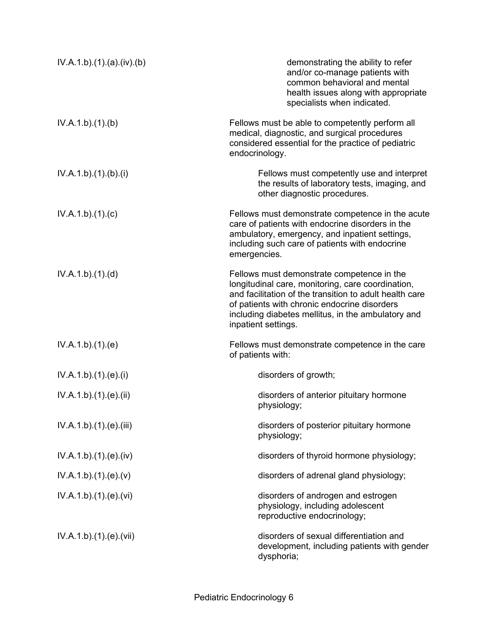| IV.A.1.b)(1)(a)(iv)(b)  | demonstrating the ability to refer<br>and/or co-manage patients with<br>common behavioral and mental<br>health issues along with appropriate<br>specialists when indicated.                                                                                                             |
|-------------------------|-----------------------------------------------------------------------------------------------------------------------------------------------------------------------------------------------------------------------------------------------------------------------------------------|
| IV.A.1.b)(1)(b)         | Fellows must be able to competently perform all<br>medical, diagnostic, and surgical procedures<br>considered essential for the practice of pediatric<br>endocrinology.                                                                                                                 |
| IV.A.1.b)(1)(b)(i)      | Fellows must competently use and interpret<br>the results of laboratory tests, imaging, and<br>other diagnostic procedures.                                                                                                                                                             |
| IV.A.1.b)(1)(c)         | Fellows must demonstrate competence in the acute<br>care of patients with endocrine disorders in the<br>ambulatory, emergency, and inpatient settings,<br>including such care of patients with endocrine<br>emergencies.                                                                |
| IV.A.1.b)(1)(d)         | Fellows must demonstrate competence in the<br>longitudinal care, monitoring, care coordination,<br>and facilitation of the transition to adult health care<br>of patients with chronic endocrine disorders<br>including diabetes mellitus, in the ambulatory and<br>inpatient settings. |
| IV.A.1.b)(1)(e)         | Fellows must demonstrate competence in the care<br>of patients with:                                                                                                                                                                                                                    |
| IV.A.1.b) (1). (e). (i) | disorders of growth;                                                                                                                                                                                                                                                                    |
| IV.A.1.b)(1)(e)(ii)     | disorders of anterior pituitary hormone<br>physiology;                                                                                                                                                                                                                                  |
| IV.A.1.b)(1)(e)(iii)    | disorders of posterior pituitary hormone<br>physiology;                                                                                                                                                                                                                                 |
| IV.A.1.b)(1)(e)(iv)     | disorders of thyroid hormone physiology;                                                                                                                                                                                                                                                |
| IV.A.1.b)(1)(e)(v)      | disorders of adrenal gland physiology;                                                                                                                                                                                                                                                  |
| IV.A.1.b).(1).(e).(vi)  | disorders of androgen and estrogen<br>physiology, including adolescent<br>reproductive endocrinology;                                                                                                                                                                                   |
| IV.A.1.b)(1)(e)(vii)    | disorders of sexual differentiation and<br>development, including patients with gender<br>dysphoria;                                                                                                                                                                                    |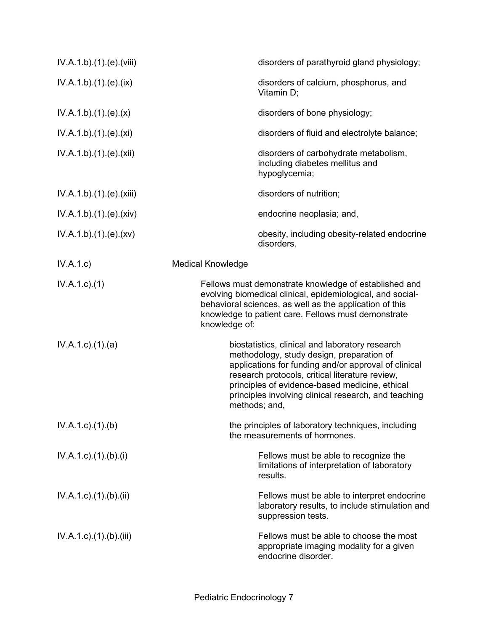| IV.A.1.b)(1)(e)(viii)               | disorders of parathyroid gland physiology;                                                                                                                                                                                                                                                                                         |
|-------------------------------------|------------------------------------------------------------------------------------------------------------------------------------------------------------------------------------------------------------------------------------------------------------------------------------------------------------------------------------|
| IV.A.1.b)(1)(e)(ix)                 | disorders of calcium, phosphorus, and<br>Vitamin D:                                                                                                                                                                                                                                                                                |
| IV.A.1.b)(1)(e)(x)                  | disorders of bone physiology;                                                                                                                                                                                                                                                                                                      |
| IV.A.1.b)(1)(e)(xi)                 | disorders of fluid and electrolyte balance;                                                                                                                                                                                                                                                                                        |
| IV.A.1.b)(1)(e)(xii)                | disorders of carbohydrate metabolism,<br>including diabetes mellitus and<br>hypoglycemia;                                                                                                                                                                                                                                          |
| IV.A.1.b)(1)(e)(xiii)               | disorders of nutrition;                                                                                                                                                                                                                                                                                                            |
| IV.A.1.b)(1)(e)(xiv)                | endocrine neoplasia; and,                                                                                                                                                                                                                                                                                                          |
| IV.A.1.b)(1)(e)(xv)                 | obesity, including obesity-related endocrine<br>disorders.                                                                                                                                                                                                                                                                         |
| IV.A.1.c                            | <b>Medical Knowledge</b>                                                                                                                                                                                                                                                                                                           |
| $IV.A.1.c.$ (1)                     | Fellows must demonstrate knowledge of established and<br>evolving biomedical clinical, epidemiological, and social-<br>behavioral sciences, as well as the application of this<br>knowledge to patient care. Fellows must demonstrate<br>knowledge of:                                                                             |
| IV.A.1.c.1(1).(a)                   | biostatistics, clinical and laboratory research<br>methodology, study design, preparation of<br>applications for funding and/or approval of clinical<br>research protocols, critical literature review,<br>principles of evidence-based medicine, ethical<br>principles involving clinical research, and teaching<br>methods; and, |
| IV.A.1.c.1(1). (b)                  | the principles of laboratory techniques, including<br>the measurements of hormones.                                                                                                                                                                                                                                                |
| $IV.A.1.c$ ). $(1)$ . $(b)$ . $(i)$ | Fellows must be able to recognize the<br>limitations of interpretation of laboratory<br>results.                                                                                                                                                                                                                                   |
| $IV.A.1.c$ . $(1).$ $(b).$ $(ii)$   | Fellows must be able to interpret endocrine<br>laboratory results, to include stimulation and<br>suppression tests.                                                                                                                                                                                                                |
| $IV.A.1.c$ . $(1).$ $(b).$ (iii)    | Fellows must be able to choose the most<br>appropriate imaging modality for a given<br>endocrine disorder.                                                                                                                                                                                                                         |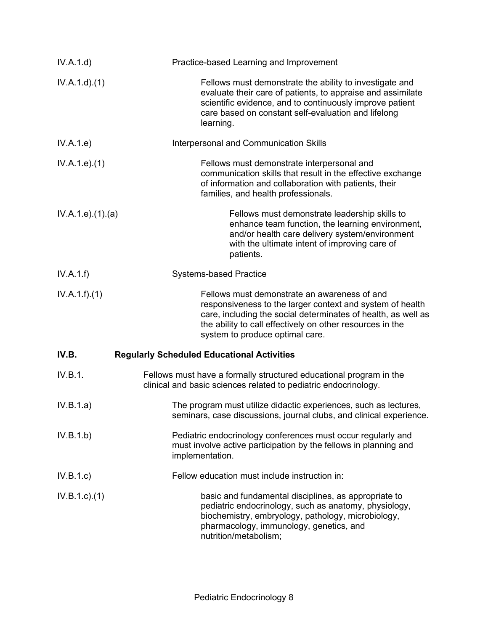| IV.A.1.d)          | Practice-based Learning and Improvement                                                                                                                                                                                                                                    |
|--------------------|----------------------------------------------------------------------------------------------------------------------------------------------------------------------------------------------------------------------------------------------------------------------------|
| IV.A.1.d)(1)       | Fellows must demonstrate the ability to investigate and<br>evaluate their care of patients, to appraise and assimilate<br>scientific evidence, and to continuously improve patient<br>care based on constant self-evaluation and lifelong<br>learning.                     |
| IV.A.1.e)          | Interpersonal and Communication Skills                                                                                                                                                                                                                                     |
| IV.A.1.e. (1)      | Fellows must demonstrate interpersonal and<br>communication skills that result in the effective exchange<br>of information and collaboration with patients, their<br>families, and health professionals.                                                                   |
| IV.A.1.e. (1). (a) | Fellows must demonstrate leadership skills to<br>enhance team function, the learning environment,<br>and/or health care delivery system/environment<br>with the ultimate intent of improving care of<br>patients.                                                          |
| IV.A.1.f)          | <b>Systems-based Practice</b>                                                                                                                                                                                                                                              |
| IV.A.1.f)(1)       | Fellows must demonstrate an awareness of and<br>responsiveness to the larger context and system of health<br>care, including the social determinates of health, as well as<br>the ability to call effectively on other resources in the<br>system to produce optimal care. |
| IV.B.              | <b>Regularly Scheduled Educational Activities</b>                                                                                                                                                                                                                          |
| IV.B.1.            | Fellows must have a formally structured educational program in the<br>clinical and basic sciences related to pediatric endocrinology.                                                                                                                                      |
| IV.B.1.a)          | The program must utilize didactic experiences, such as lectures,<br>seminars, case discussions, journal clubs, and clinical experience.                                                                                                                                    |
| IV.B.1.b)          | Pediatric endocrinology conferences must occur regularly and<br>must involve active participation by the fellows in planning and<br>implementation.                                                                                                                        |
| IV.B.1.c           | Fellow education must include instruction in:                                                                                                                                                                                                                              |
| $IV.B.1.c.$ (1)    | basic and fundamental disciplines, as appropriate to<br>pediatric endocrinology, such as anatomy, physiology,<br>biochemistry, embryology, pathology, microbiology,<br>pharmacology, immunology, genetics, and<br>nutrition/metabolism;                                    |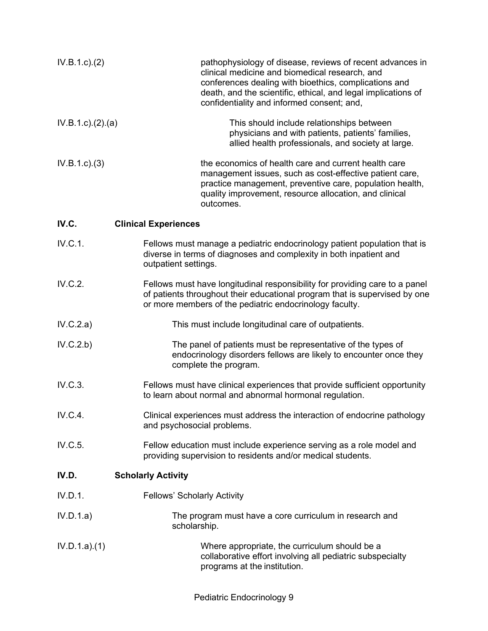| IV.B.1.c.2)         | pathophysiology of disease, reviews of recent advances in<br>clinical medicine and biomedical research, and<br>conferences dealing with bioethics, complications and<br>death, and the scientific, ethical, and legal implications of<br>confidentiality and informed consent; and, |
|---------------------|-------------------------------------------------------------------------------------------------------------------------------------------------------------------------------------------------------------------------------------------------------------------------------------|
| IV.B.1.c). (2). (a) | This should include relationships between<br>physicians and with patients, patients' families,<br>allied health professionals, and society at large.                                                                                                                                |
| $IV.B.1.c.$ (3)     | the economics of health care and current health care<br>management issues, such as cost-effective patient care,<br>practice management, preventive care, population health,<br>quality improvement, resource allocation, and clinical<br>outcomes.                                  |
| IV.C.               | <b>Clinical Experiences</b>                                                                                                                                                                                                                                                         |
| IV.C.1.             | Fellows must manage a pediatric endocrinology patient population that is<br>diverse in terms of diagnoses and complexity in both inpatient and<br>outpatient settings.                                                                                                              |
| IV.C.2.             | Fellows must have longitudinal responsibility for providing care to a panel<br>of patients throughout their educational program that is supervised by one<br>or more members of the pediatric endocrinology faculty.                                                                |
| IV.C.2.a)           | This must include longitudinal care of outpatients.                                                                                                                                                                                                                                 |
| IV.C.2.b)           | The panel of patients must be representative of the types of<br>endocrinology disorders fellows are likely to encounter once they<br>complete the program.                                                                                                                          |
| IV.C.3.             | Fellows must have clinical experiences that provide sufficient opportunity<br>to learn about normal and abnormal hormonal regulation.                                                                                                                                               |
| IV.C.4.             | Clinical experiences must address the interaction of endocrine pathology<br>and psychosocial problems.                                                                                                                                                                              |
| IV.C.5.             | Fellow education must include experience serving as a role model and<br>providing supervision to residents and/or medical students.                                                                                                                                                 |
| IV.D.               | <b>Scholarly Activity</b>                                                                                                                                                                                                                                                           |
| IV.D.1.             | <b>Fellows' Scholarly Activity</b>                                                                                                                                                                                                                                                  |
| IV.D.1.a)           | The program must have a core curriculum in research and<br>scholarship.                                                                                                                                                                                                             |
| IV.D.1.a)(1)        | Where appropriate, the curriculum should be a<br>collaborative effort involving all pediatric subspecialty<br>programs at the institution.                                                                                                                                          |